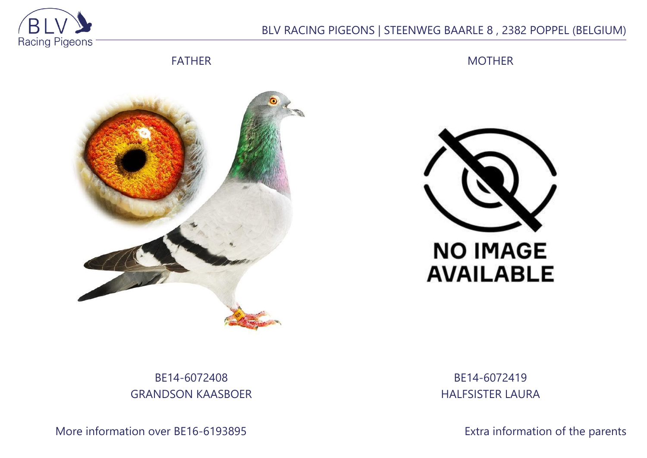

## BLV RACING PIGEONS | STEENWEG BAARLE 8 , 2382 POPPEL (BELGIUM)

FATHER

MOTHER





## BE14-6072408 GRANDSON KAASBOER

More information over BE16-6193895 **Extra information of the parents** 

BE14-6072419 HALFSISTER LAURA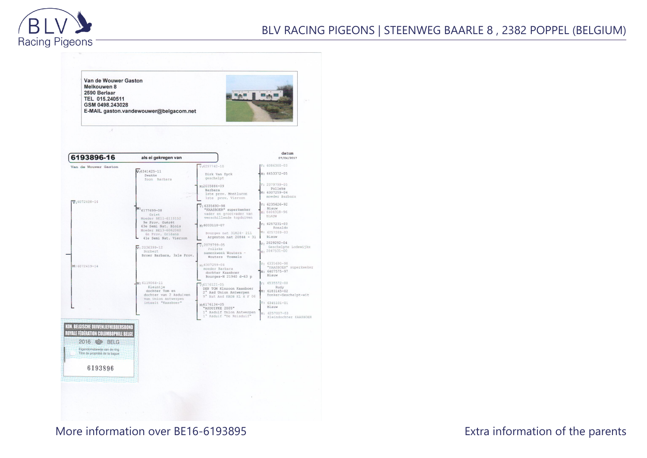

Van de Wouwer Gaston Melkouwen 8 2590 Berlaar TEL 015.240511 GSM 0498.243028 E-MAIL gaston.vandewouwer@belgacom.net

 $-18$ 



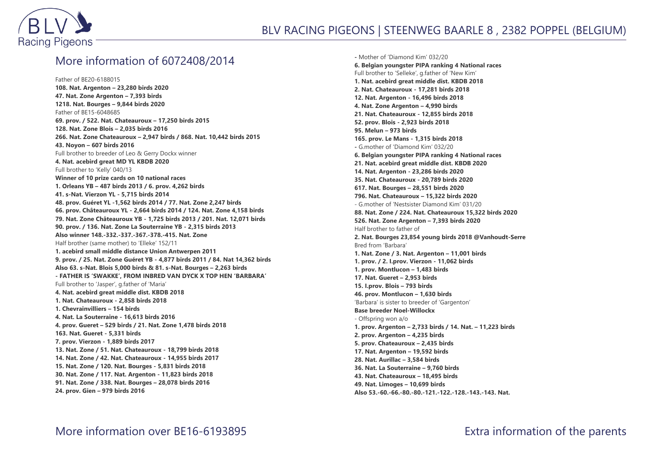

## More information of 6072408/2014

Father of BE20-6188015 **108. Nat. Argenton – 23,280 birds 2020 47. Nat. Zone Argenton – 7,393 birds 1218. Nat. Bourges – 9,844 birds 2020** Father of BE15-6048685 **69. prov. / 522. Nat. Chateauroux – 17,250 birds 2015 128. Nat. Zone Blois – 2,035 birds 2016 266. Nat. Zone Chateauroux – 2,947 birds / 868. Nat. 10,442 birds 2015 43. Noyon – 607 birds 2016** Full brother to breeder of Leo & Gerry Dockx winner **4. Nat. acebird great MD YL KBDB 2020** Full brother to 'Kelly' 040/13 **Winner of 10 prize cards on 10 national races 1. Orleans YB – 487 birds 2013 / 6. prov. 4,262 birds 41. s-Nat. Vierzon YL - 5,715 birds 2014 48. prov. Guéret YL -1,562 birds 2014 / 77. Nat. Zone 2,247 birds 66. prov. Châteauroux YL - 2,664 birds 2014 / 124. Nat. Zone 4,158 birds 79. Nat. Zone Châteauroux YB - 1,725 birds 2013 / 201. Nat. 12,071 birds 90. prov. / 136. Nat. Zone La Souterraine YB - 2,315 birds 2013 Also winner 148.-332.-337.-367.-378.-415. Nat. Zone** Half brother (same mother) to 'Elleke' 152/11 **1. acebird small middle distance Union Antwerpen 2011 9. prov. / 25. Nat. Zone Guéret YB - 4,877 birds 2011 / 84. Nat 14,362 birds Also 63. s-Nat. Blois 5,000 birds & 81. s-Nat. Bourges – 2,263 birds - FATHER IS 'SWAKKE', FROM INBRED VAN DYCK X TOP HEN 'BARBARA'** Full brother to 'Jasper', g.father of 'Maria' **4. Nat. acebird great middle dist. KBDB 2018 1. Nat. Chateauroux - 2,858 birds 2018 1. Chevrainvilliers – 154 birds 4. Nat. La Souterraine - 16,613 birds 2016 4. prov. Gueret – 529 birds / 21. Nat. Zone 1,478 birds 2018 163. Nat. Gueret - 5,331 birds 7. prov. Vierzon - 1,889 birds 2017 13. Nat. Zone / 51. Nat. Chateauroux - 18,799 birds 2018 14. Nat. Zone / 42. Nat. Chateauroux - 14,955 birds 2017 15. Nat. Zone / 120. Nat. Bourges - 5,831 birds 2018 30. Nat. Zone / 117. Nat. Argenton - 11,823 birds 2018 91. Nat. Zone / 338. Nat. Bourges – 28,078 birds 2016 24. prov. Gien – 979 birds 2016**

**-** Mother of 'Diamond Kim' 032/20 **6. Belgian youngster PIPA ranking 4 National races** Full brother to 'Selleke', g.father of 'New Kim' **1. Nat. acebird great middle dist. KBDB 2018 2. Nat. Chateauroux - 17,281 birds 2018 12. Nat. Argenton - 16,496 birds 2018 4. Nat. Zone Argenton – 4,990 birds 21. Nat. Chateauroux - 12,855 birds 2018 52. prov. Blois - 2,923 birds 2018 95. Melun – 973 birds 165. prov. Le Mans - 1,315 birds 2018 -** G.mother of 'Diamond Kim' 032/20 **6. Belgian youngster PIPA ranking 4 National races 21. Nat. acebird great middle dist. KBDB 2020 14. Nat. Argenton - 23,286 birds 2020 35. Nat. Chateauroux - 20,789 birds 2020 617. Nat. Bourges – 28,551 birds 2020 796. Nat. Chateauroux – 15,322 birds 2020** - G.mother of 'Nestsister Diamond Kim' 031/20 **88. Nat. Zone / 224. Nat. Chateauroux 15,322 birds 2020 526. Nat. Zone Argenton – 7,393 birds 2020** Half brother to father of **2. Nat. Bourges 23,854 young birds 2018 @Vanhoudt-Serre** Bred from 'Barbara' **1. Nat. Zone / 3. Nat. Argenton – 11,001 birds 1. prov. / 2. I.prov. Vierzon - 11,062 birds 1. prov. Montlucon – 1,483 birds 17. Nat. Gueret – 2,953 birds 15. I.prov. Blois – 793 birds 46. prov. Montlucon – 1,630 birds** 'Barbara' is sister to breeder of 'Gargenton' **Base breeder Noel-Willockx** - Offspring won a/o **1. prov. Argenton – 2,733 birds / 14. Nat. – 11,223 birds 2. prov. Argenton – 4,235 birds 5. prov. Chateauroux – 2,435 birds 17. Nat. Argenton – 19,592 birds 28. Nat. Aurillac – 3,584 birds 36. Nat. La Souterraine – 9,760 birds 43. Nat. Chateauroux – 18,495 birds 49. Nat. Limoges – 10,699 birds Also 53.-60.-66.-80.-80.-121.-122.-128.-143.-143. Nat.**